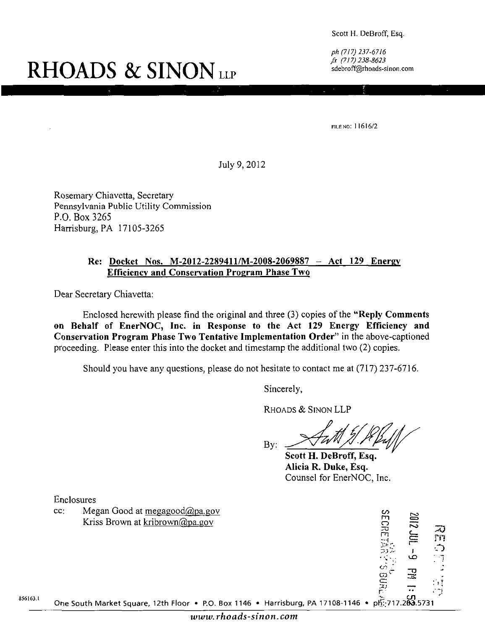Scott H. DeBroff, Esq.

ph (717) 237-6716 fa (717)238-8623 sdebroff@rhoads-sinon.com

# **RHOADS & SINON**

FILE NO: ] 1616/2

July 9,2012

Rosemary Chiavetta, Secretary Pennsylvania Public Utility Commission P.O. Box 3265 Harrisburg, PA 17105-3265

#### **Re: Docket Nos. M-2012-2289411/M-2Q08-2069887 - Act 129 Energy Efficiency and Conservation Program Phase Two**

Dear Secretary Chiavetta:

Enclosed herewith please find the original and three (3) copies of the "Reply Comments on Behalf of EnerNOC, Inc. in Response to the Act 129 Energy Efficiency and Conservation Program Phase Two Tentative Implementation Order" in the above-captioned proceeding. Please enter this into the docket and timestamp the additional two (2) copies.

Should you have any questions, please do not hesitate to contact me at (717) 237-6716.

Sincerely,

RHOADS & SINON LLP

By:

Scott H. DeBroff, Esq. Alicia R. Duke, Esq. Counsel for EnerNOC, Inc.

Enclosures

cc: Megan Good at megagood $\omega$ pa.gov Kriss Brown at kribrown@pa.gov



856163.1 One South Market Square, 12th Floor • P.O. Box 1146 • Harrisburg, PA 17108-1146 • plf:;717.2&§.5731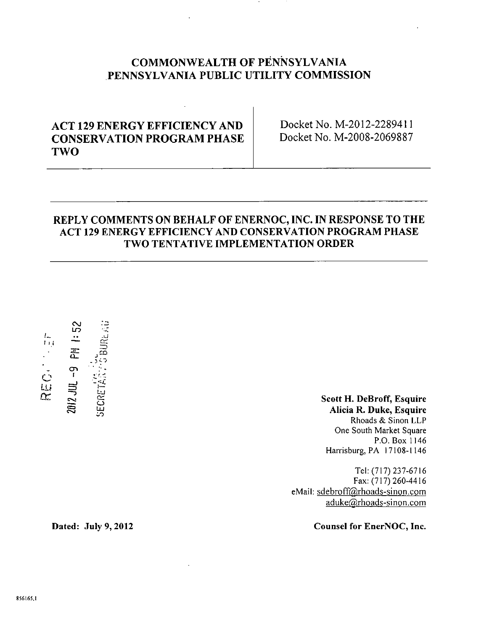# **COMMONWEALTH OF PENNSYLVANIA PENNSYLVANIA PUBLIC UTILITY COMMISSION**

# **ACT 129 ENERGY EFFICIENCY AND CONSERVATION PROGRAM PHASE TWO**

**Docket No. M-2012-2289411 Docket No. M-2008-2069887** 

### **REPLY COMMENTS ON BEHALF OF ENERNOC, INC. IN RESPONSE TO THE ACT 129 ENERGY EFFICIENCY AND CONSERVATION PROGRAM PHASE TWO TENTATIVE IMPLEMENTATION ORDER**



#### **Scott H. DeBroff, Esquire Alicia R. Duke, Esquire**  Rhoads & Sinon LLP One South Market Square P.O. Box 1146 Harrisburg, PA 17108-1146

Tel: (717) 237-6716 Fax: (717) 260-4416 eMail: sdebroff(@,rhoads-sinon.com aduke@rhoads-sinon.com

Dated: July 9, 2012 Counsel for EnerNOC, Inc.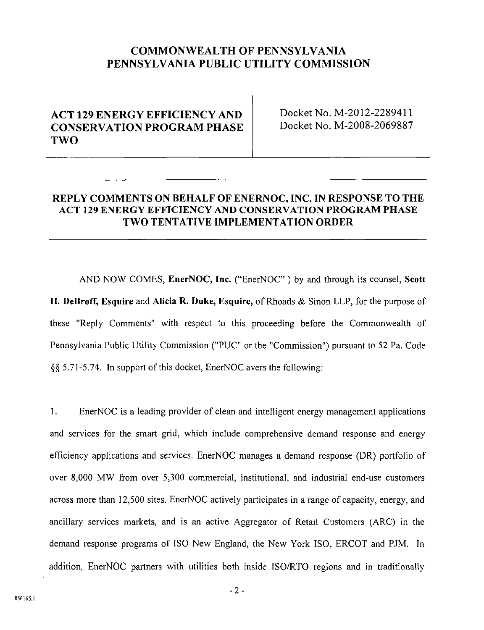# **COMMONWEALTH OF PENNSYLVANIA PENNSYLVANIA PUBLIC UTILITY COMMISSION**

# **A C T 129 ENERGY EFFICIENCY AND CONSERVATION PROGRAM PHASE T WO**

Docket No. M-2012-2289411 Docket No. M-2008-2069887

### **REPLY COMMENTS ON BEHALF OF ENERNOC, INC. IN RESPONSE TO THE ACT 129 ENERGY EFFICIENCY AND CONSERVATION PROGRAM PHASE TWO TENTATIVE IMPLEMENTATION ORDER**

AND NOW COMES, EnerNOC, Inc. ("EnerNOC" ) by and through its counsel, Scott H. DeBroff, Esquire and Alicia R. Duke, Esquire, of Rhoads & Sinon LLP, for the purpose of these "Reply Comments" with respect to this proceeding before the Commonwealth of Pennsylvania Public Utility Commission ("PUC" or the "Commission") pursuant to 52 Pa. Code §§ 5.71-5.74. In support of this docket, EnerNOC avers the following:

1. EnerNOC is a leading provider of clean and intelligent energy management applications and services for the smart grid, which include comprehensive demand response and energy efficiency applications and services. EnerNOC manages a demand response (DR) portfolio of over 8,000 MW from over 5,300 commercial, institutional, and industrial end-use customers across more than 12,500 sites. EnerNOC actively participates in a range of capacity, energy, and ancillary services markets, and is an active Aggregator of Retail Customers (ARC) in the demand response programs of ISO New England, the New York ISO, ERCOT and PJM. In addition, EnerNOC partners with utilities both inside ISO/RTO regions and in traditionally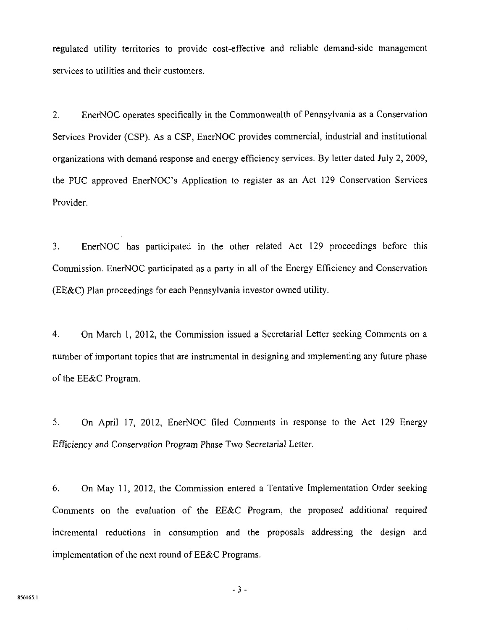regulated utility territories to provide cost-effective and reliable demand-side management services to utilities and their customers.

2. EnerNOC operates specifically in the Commonwealth of Pennsylvania as a Conservation Services Provider (CSP). As a CSP, EnerNOC provides commercial, industrial and institutional organizations with demand response and energy efficiency services. By letter dated July 2, 2009, the PUC approved EnerNOC's Application to register as an Act 129 Conservation Services Provider.

3. EnerNOC has participated in the other related Act 129 proceedings before this Commission. EnerNOC participated as a party in all of the Energy Efficiency and Conservation (EE&C) Plan proceedings for each Pennsylvania investor owned utility.

4. On March 1, 2012, the Commission issued a Secretarial Letter seeking Comments on a number of important topics that are instrumental in designing and implementing any future phase of the EE&C Program.

5. On April 17, 2012, EnerNOC filed Comments in response to the Act 129 Energy Efficiency and Conservation Program Phase Two Secretarial Letter.

6. On May 11, 2012, the Commission entered a Tentative Implementation Order seeking Comments on the evaluation of the EE&C Program, the proposed additional required incremental reductions in consumption and the proposals addressing the design and implementation of the next round of EE&C Programs.

- 3 -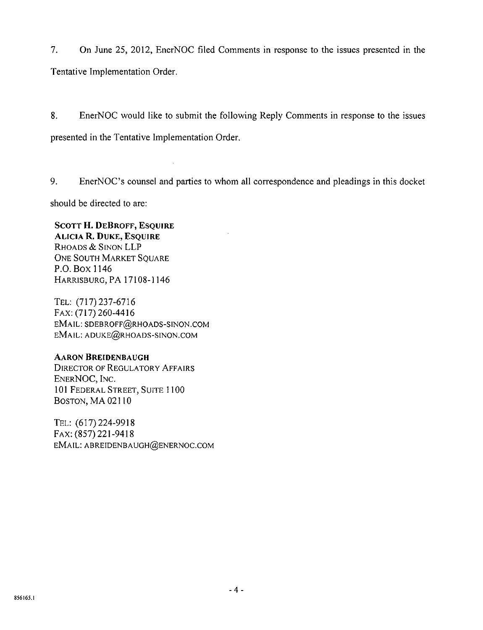7. On June 25, 2012, EnerNOC filed Comments in response to the issues presented in the Tentative Implementation Order.

8. EnerNOC would like to submit the following Reply Comments in response to the issues presented in the Tentative Implementation Order.

9. EnerNOC's counsel and parties to whom all correspondence and pleadings in this docket

should be directed to are:

**SCOTT H. DEBROFF, ESQUIRE ALICIA R. DUKE, ESQUIRE**  RHOADS & SINON LLP ONE SOUTH MARKET SOUARE P.O. Box 1146 HARRISBURG, PA 17108-1146

TEL: (717)237-6716 FAX:(717)260-4416 EMAIL: SDEBROFF@RHOADS-SINON.COM EMAIL: ADUKE@RHOADS-SINON.COM

# **AARON BREIDENBAUGH**

DIRECTOR OF REGULATORY AFFAIRS ENERNOC, INC. 101 FEDERAL STREET, SUITE 1100 BOSTON, MA 02110

TEL: (617)224-9918 FAX: (857)221-9418 EMAIL: ABREIDENBAUGH@ENERNOC.COM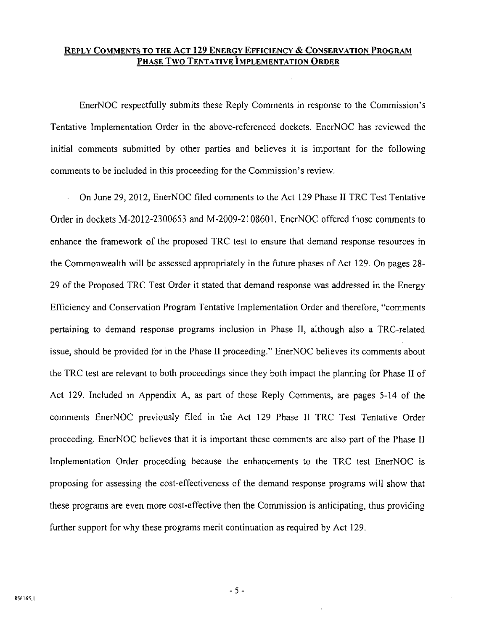#### REPLY COMMENTS TO THE ACT 129 ENERGY EFFICIENCY & CONSERVATION PROGRAM PHASE TWO TENTATIVE IMPLEMENTATION ORDER

EnerNOC respectfully submits these Reply Comments in response to the Commission's Tentative Implementation Order in the above-referenced dockets. EnerNOC has reviewed the initial comments submitted by other parties and believes it is important for the following comments to be included in this proceeding for the Commission's review.

On June 29, 2012, EnerNOC filed comments to the Act 129 Phase II TRC Test Tentative Order in dockets M-2012-2300653 and M-2009-2108601. EnerNOC offered those comments to enhance the framework of the proposed TRC test to ensure that demand response resources in the Commonwealth will be assessed appropriately in the future phases of Act 129. On pages 28- 29 of the Proposed TRC Test Order it stated that demand response was addressed in the Energy Efficiency and Conservation Program Tentative Implementation Order and therefore, "comments pertaining to demand response programs inclusion in Phase II, although also a TRC-related issue, should be provided for in the Phase II proceeding." EnerNOC believes its comments about the TRC test are relevant to both proceedings since they both impact the planning for Phase II of Act 129. Included in Appendix A, as part of these Reply Comments, are pages 5-14 of the comments EnerNOC previously filed in the Act 129 Phase II TRC Test Tentative Order proceeding. EnerNOC believes that it is important these comments are also part of the Phase II Implementation Order proceeding because the enhancements to the TRC test EnerNOC is proposing for assessing the cost-effectiveness of the demand response programs will show that these programs are even more cost-effective then the Commission is anticipating, thus providing further support for why these programs merit continuation as required by Act 129.

- 5 -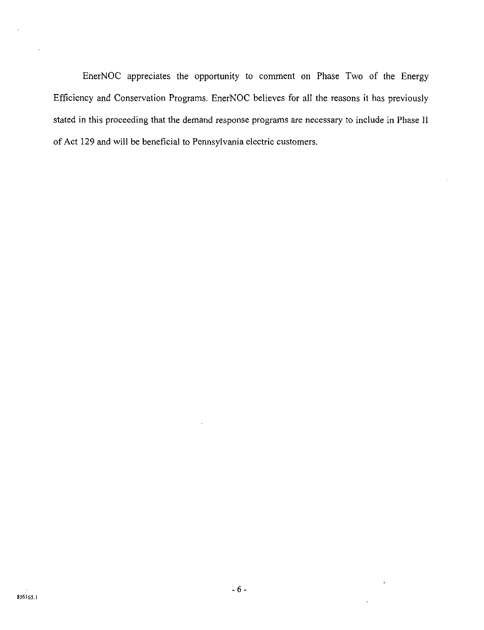EnerNOC appreciates the opportunity to comment on Phase Two of the Energy Efficiency and Conservation Programs. EnerNOC believes for all the reasons it has previously stated in this proceeding that the demand response programs are necessary to include in Phase II of Act 129 and will be beneficial to Pennsylvania electric customers.

 $\ddot{\phantom{1}}$ 

 $\ddot{\phantom{a}}$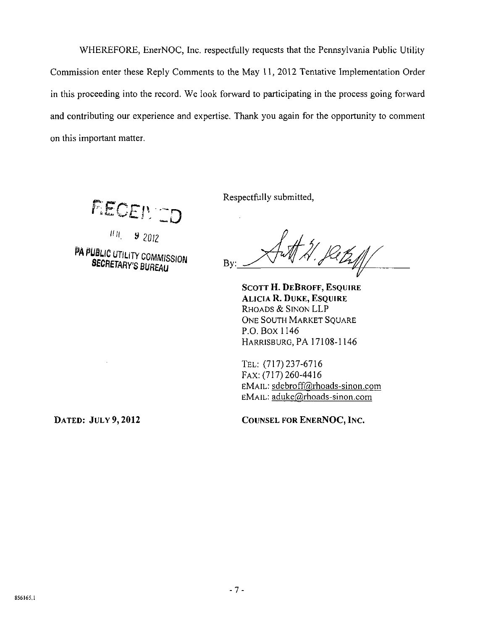WHEREFORE, EnerNOC, Inc. respectfully requests that the Pennsylvania Public Utility Commission enter these Reply Comments to the May 11, 2012 Tentative Implementation Order in this proceeding into the record. We look forward to participating in the process going forward and contributing our experience and expertise. Thank you again for the opportunity to comment on this important matter.

FIECEN CD

 $H_{\rm H}$  9 2012 PA PUBLIC UTILITY COMMISSION

**DATED: JULY 9,2012** 

Respectfully submitted,

21. Jakif Bv:

**SCOTT H. DEBROFF, ESQUIRE ALICIA R. DUKE, ESQUIRE**  RHOADS & SINON LLP ONE SOUTH MARKET SQUARE P.O. Box 1146 HARRISBURG, PA 17108-1146

TEL: (717)237-6716 FAX: (717) 260-4416 EMAIL: sdebroff@rhoads-sinon.com EMAIL: aduke@rhoads-sinon.com

**COUNSEL FOR ENERNOC, INC.**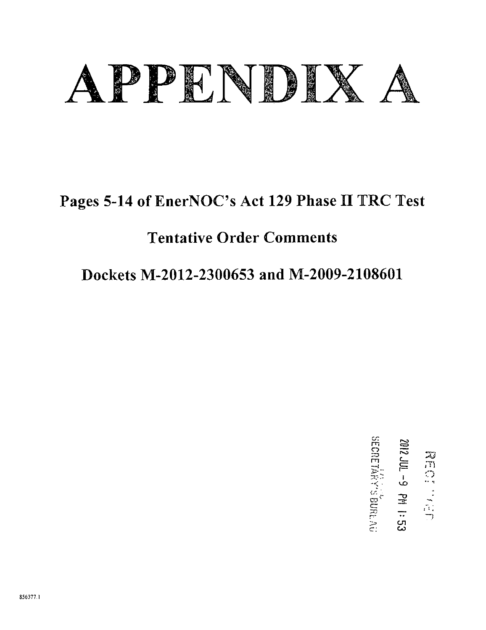

# **Pages 5-14 of EnerNOC's Act 129 Phase II TRC Test**

# **Tentative Order Comments**

# **Dockets M-2012-2300653 and M-2009-2108601**

cr. m o m i  $\tilde{\mathbf{m}}$ **cr**   $\rightarrow$ cn CO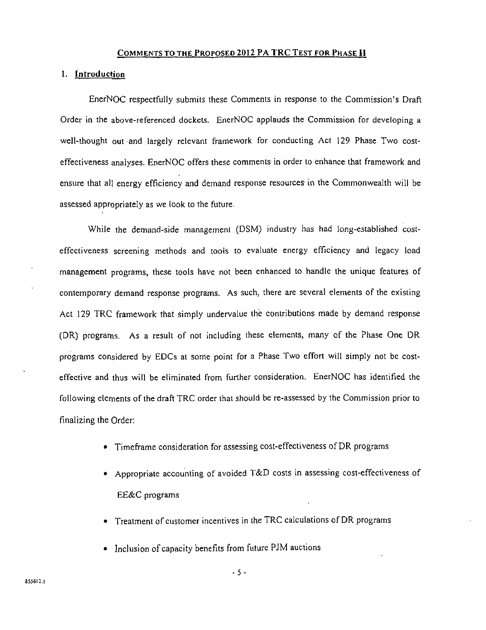#### **COMMENTS TO THE PROPOSED 2012 PA TRC TEST FOR PHASE 11**

#### **I. Introduction**

EnerNOC respectfully submits these Comments in response to the Commission's Draft Order in the above-referenced dockets. EnerNOC applauds the Commission for developing a well-thought out and largely relevant framework for conducting Act 129 Phase Two costeffectiveness analyses. EnerNOC offers these comments in order to enhance that framework and ensure that all energy efficiency and demand response resources' in the Commonwealth will be assessed appropriately as we look to the future.

While the demand-side management (DSM) industry has had long-established costeffectiveness screening methods and tools to evaluate energy efficiency and legacy load management programs, these tools have not been enhanced to handle the unique features of contemporary demand response programs. As such, there are several elements of the existing Act 129 TRC framework that simply undervalue the contributions made by demand response (DR) programs. As a result of not including these elements, many of the Phase One DR programs considered by EDCs at some point for a Phase Two effort will simply not be costeffective and thus will be eliminated from further consideration. EnerNOC has identified the following elements of the draft TRC order that should be re-assessed by the Commission prior to finalizing the Order:

- Timeframe consideration for assessing cost-effectiveness of DR programs
- Appropriate accounting of avoided T&D costs in assessing cost-effectiveness of EE&C programs
- Treatment of customer incentives in the TRC calculations of DR programs
- Inclusion of capacity benefits from future PJM auctions

- 5 -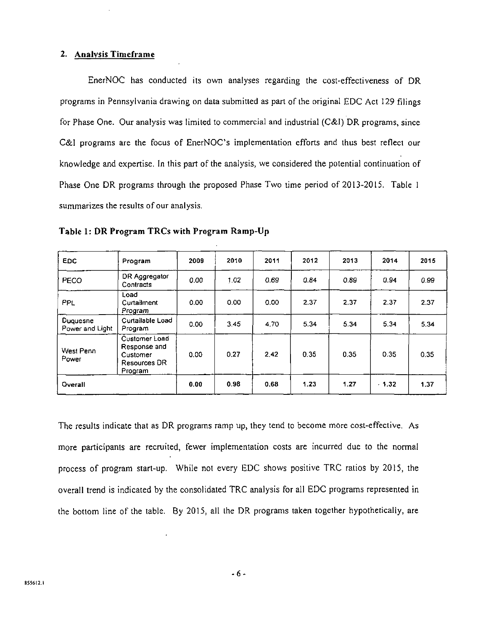#### **2. Analysis Timeframe**

EnerNOC has conducted its own analyses regarding the cost-effectiveness of DR programs in Pennsylvania drawing on data submitted as part of the original EDC Act 129 filings for Phase One. Our analysis was limited to commercial and industrial (C&I) DR programs, since C&I programs are the focus of EnerNOC's implementation efforts and thus best reflect our knowledge and expertise. In this part of the analysis, we considered the potential continuation of Phase One DR programs through the proposed Phase Two time period of 2013-2015. Table 1 summarizes the results of our analysis.

| EDC.                        | Program                                                              | 2009 | 2010 | 2011 | 2012 | 2013 | 2014    | 2015 |
|-----------------------------|----------------------------------------------------------------------|------|------|------|------|------|---------|------|
| PECO                        | DR Aggregator<br>Contracts                                           | 0.00 | 1.02 | 0.69 | 0.84 | 0.89 | 0.94    | 0.99 |
| <b>PPL</b>                  | Load<br>Curtailment<br>Program                                       | 0.00 | 0.00 | 0.00 | 2.37 | 2.37 | 2.37    | 2.37 |
| Duquesne<br>Power and Light | <b>Curtailable Load</b><br>Program                                   | 0.00 | 3.45 | 4.70 | 5.34 | 5.34 | 5.34    | 5.34 |
| West Penn<br>Power          | Customer Load<br>Response and<br>Customer<br>Resources DR<br>Program | 0.00 | 0.27 | 2.42 | 0.35 | 0.35 | 0.35    | 0.35 |
| Overall                     |                                                                      | 0.00 | 0.98 | 0.68 | 1.23 | 1.27 | $-1.32$ | 1.37 |

**Table 1: DR Program TRCs with Program Ramp-Up** 

The results indicate that as DR programs ramp up, they tend to become more cost-effective. As more participants are recruited, fewer implementation costs are incurred due to the normal process of program start-up. While not every EDC shows positive TRC ratios by 2015, the overall trend is indicated by the consolidated TRC analysis for all EDC programs represented in the bottom line of the table. By 2015, all the DR programs taken together hypothetically, are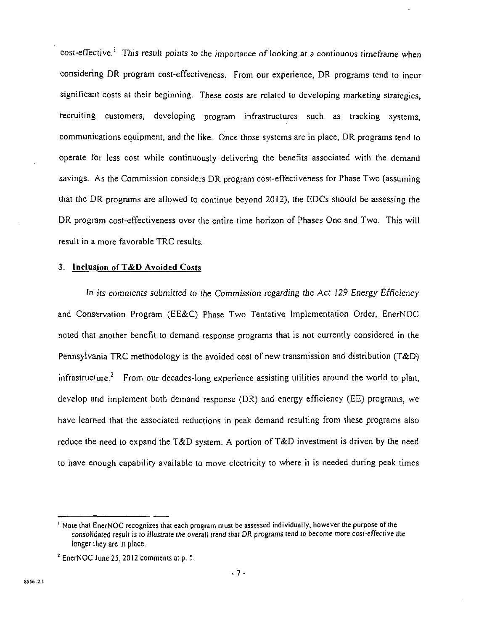cost-effective.<sup>1</sup> This result points to the importance of looking at a continuous timeframe when considering DR program cost-effectiveness. From our experience, DR programs tend to incur significant costs at their beginning. These costs are related to developing marketing strategies, recruiting customers, developing program infrastructures such as tracking systems, communications equipment, and the like. Once those systems are in place, DR programs tend to operate for less cost while continuously delivering the benefits associated with the demand savings. As the Commission considers DR program cost-effectiveness for Phase Two (assuming that the DR programs are allowed to continue beyond 2012), the EDCs should be assessing the DR program cost-effectiveness over the entire time horizon of Phases One and Two. This will result in a more favorable TRC results.

#### **3. Inclusion of T&D Avoided Costs**

In its comments submitted to the Commission regarding the Act 129 Energy Efficiency and Conservation Program (EE&C) Phase Two Tentative Implementation Order, EnerNOC noted that another benefit to demand response programs that is not currently considered in the Pennsylvania TRC methodology is the avoided cost of new transmission and distribution (T&D) infrastructure.<sup>2</sup> From our decades-long experience assisting utilities around the world to plan, develop and implement both demand response (DR) and energy efficiency (EE) programs, we have learned that the associated reductions in peak demand resulting from these programs also reduce the need to expand the T&D system. A portion of T&D investment is driven by the need to have enough capability available to move electricity to where it is needed during peak times

<sup>&</sup>lt;sup>1</sup> Note that EnerNOC recognizes that each program must be assessed individually, however the purpose of the consolidated result is to illustrate the overall trend that DR programs tend to become more cost-effective the longer they are in place.

<sup>&</sup>lt;sup>2</sup> EnerNOC June 25, 2012 comments at p. 5,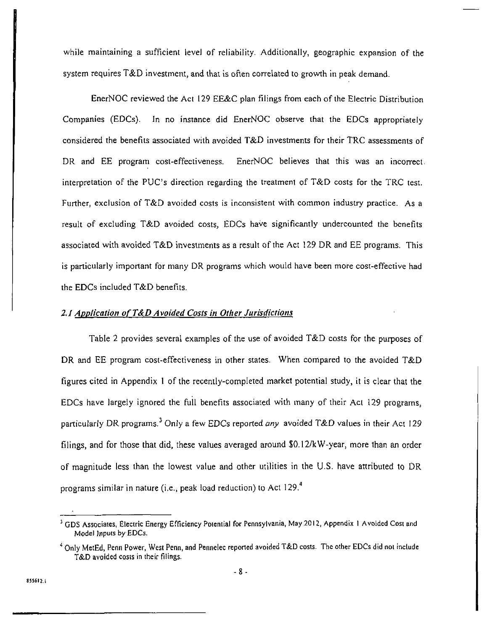while maintaining a sufficient level of reliability. Additionally, geographic expansion of the system requires T&D investment, and that is often correlated to growth in peak demand.

EnerNOC reviewed the Act 129 EE&C plan filings from each of the Electric Distribution Companies (EDCs). In no instance did EnerNOC observe that the EDCs appropriately considered the benefits associated with avoided T&D investments for their TRC assessments of DR and EE program cost-effectiveness. EnerNOC believes that this was an incorrect. interpretation of the PUC's direction regarding the treatment of T&D costs for the TRC test. Further, exclusion of T&D avoided costs is inconsistent with common industry practice. As a result of excluding T&D avoided costs, EDCs have significantly undercounted the benefits associated with avoided T&D investments as a result of the Act 129 DR and EE programs. This is particularly important for many DR programs which would have been more cost-effective had the EDCs included T&D benefits.

#### *2J ApDlication of T&D Avoided Costs in Other Jurisdictions*

Table 2 provides several examples of the use of avoided T&D costs for the purposes of DR and EE program cost-effectiveness in other states. When compared to the avoided T&D figures cited in Appendix 1 of the recently-completed market potential study, it is clear that the EDCs have largely ignored the full benefits associated with many of their Act 129 programs, particularly DR programs.<sup>3</sup> Only a few EDCs reported *any* avoided T&D values in their Act 129 filings, and for those that did, these values averaged around  $$0.12/kW-year$ , more than an order of magnitude less than the lowest value and other utilities in the U.S. have attributed to DR programs similar in nature (i.e., peak load reduction) to Act 129.''

<sup>&</sup>lt;sup>3</sup> GDS Associates, Electric Energy Efficiency Potential for Pennsylvania, May 2012, Appendix 1 Avoided Cost and Model Inputs by EDCs.

<sup>4</sup> Only MetEd, Penn Power, West Penn, and Pennelec reported avoided T&D costs. The other EDCs did not include T&D avoided costs in their filings.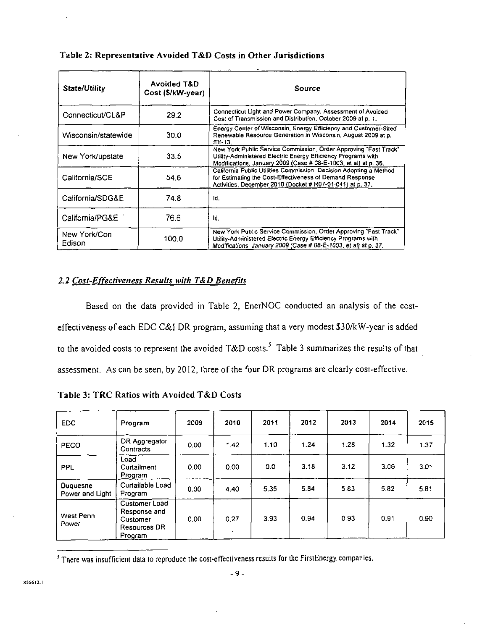| State/Utility          | <b>Avoided T&amp;D</b><br>Cost (\$/kW-year) | <b>Source</b>                                                                                                                                                                                        |  |  |  |
|------------------------|---------------------------------------------|------------------------------------------------------------------------------------------------------------------------------------------------------------------------------------------------------|--|--|--|
| Connecticut/CL&P       | 29.2                                        | Connecticul Light and Power Company, Assessment of Avoided<br>Cost of Transmission and Distribution. October 2009 at p. 1.                                                                           |  |  |  |
| Wisconsin/statewide    | 30.0                                        | Energy Center of Wisconsin, Energy Efficiency and Customer-Sited<br>Renewable Resource Generation in Wisconsin, August 2009 at p.<br>EE-13.                                                          |  |  |  |
| New York/upstate       | 33.5                                        | New York Public Service Commission, Order Approving "Fast Track"<br>Utility-Administered Electric Energy Efficiency Programs with<br>Modifications, January 2009 (Case # 08-E-1003, et al) at p. 36. |  |  |  |
| California/SCE         | 54.6                                        | California Public Utilities Commission, Decision Adopting a Method<br>for Estimating the Cost-Effectiveness of Demand Response<br>Activities, December 2010 (Docket # R07-01-041) at p. 37.          |  |  |  |
| California/SDG&E       | 74.8                                        | ld.                                                                                                                                                                                                  |  |  |  |
| California/PG&E        | 76.6                                        | Id.                                                                                                                                                                                                  |  |  |  |
| New York/Con<br>Edison | 100.0                                       | New York Public Service Commission, Order Approving "Fast Track"<br>Utility-Administered Electric Energy Efficiency Programs with<br>Modifications, January 2009 (Case # 08-E-1003, et al) at p. 37. |  |  |  |

#### **Table 2: Representative Avoided T&D Costs in Other Jurisdictions**

#### *2.2 Cost-Effectiveness Results with T&D Benefits*

Based on the data provided in Table 2, EnerNOC conducted an analysis of the costeffectiveness of each EDC C&l DR program, assuming that a very modest \$30/kW-year is added to the avoided costs to represent the avoided T&D costs.<sup>5</sup> Table 3 summarizes the results of that assessment. As can be seen, by 2012, three of the four DR programs are clearly cost-effective.

**Table 3: TRC Ratios with Avoided T&D Costs** 

| <b>EDC</b>                  | Program                                                              | 2009 | 2010 | 2011 | 2012 | 2013 | 2014 | 2015 |
|-----------------------------|----------------------------------------------------------------------|------|------|------|------|------|------|------|
| PECO                        | DR Aggregator<br>Contracts                                           | 0.00 | 1.42 | 1.10 | 1.24 | 1.28 | 1.32 | 1.37 |
| PPL                         | Load<br>Curtailment<br>Program                                       | 0.00 | 0.00 | 0.0  | 3.18 | 3.12 | 3.06 | 3.01 |
| Duquesne<br>Power and Light | Curtailable Load<br>Program                                          | 0.00 | 4.40 | 5.35 | 5.84 | 5.83 | 5.82 | 5.81 |
| West Penn<br>Power          | Customer Load<br>Response and<br>Customer<br>Resources DR<br>Program | 0.00 | 0.27 | 3.93 | 0.94 | 0.93 | 0.91 | 0.90 |

There was insufficient data to reproduce the cost-effectiveness results for the FirstEnergy companies.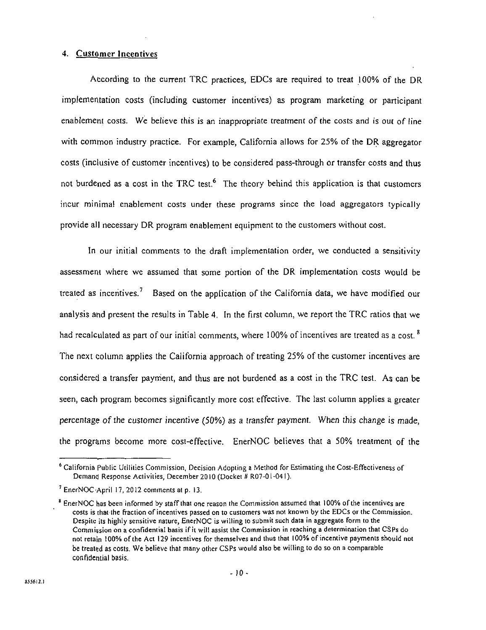#### 4. Customer Incentives

According to the current TRC practices, EDCs are required to treat 100% of the DR implementation costs (including customer incentives) as program marketing or participant enablement costs. We believe this is an inappropriate treatment of the costs and is out of line with common industry practice. For example, California allows for 25% of the DR aggregator costs (inclusive of customer incentives) to be considered pass-through or transfer costs and thus not burdened as a cost in the TRC test.<sup>6</sup> The theory behind this application is that customers incur minimal enablement costs under these programs since the load aggregators typically provide all necessary DR program enablement equipment to the customers without cost.

In our initial comments to the draft implementation order, we conducted a sensitivity assessment where we assumed that some portion of the DR implementation costs would be treated as incentives.<sup>7</sup> Based on the application of the California data, we have modified our analysis and present the results in Table 4. In the first column, we report the TRC ratios that we had recalculated as part of our initial comments, where 100% of incentives are treated as a cost.<sup>8</sup> The next column applies the California approach of treating 25% of the customer incentives are considered a transfer payment, and thus are not burdened as a cost in the TRC test. As can be seen, each program becomes significantly more cost effective. The last column applies a greater percentage of the customer incentive (50%) as a transfer payment. When this change is made, the programs become more cost-effective. EnerNOC believes that a 50% treatment of the

<sup>&</sup>lt;sup>6</sup> California Public Utilities Commission, Decision Adopting a Method for Estimating the Cost-Effectiveness of Demand Response Activities, December 2010 (Docket # R07-01-041).

<sup>7</sup> EnerNOC April 17, 2012 comments at p. 13.

 $^8$  EnerNOC has been informed by staff that one reason the Commission assumed that 100% of the incentives are costs is that the fraction of incentives passed on to customers was not known by the EDCs or the Commission. Despite its highly sensitive nature, EnerNOC is willing to submit such data in aggregate form to the Commission on a confidential basis if it will assist the Commission in reaching a determination that CSPs do not retain 100% of the Act 129 incentives for themselves and thus that 100% of incentive payments should not be treated as costs. We believe that many other CSPs would also be willing to do so on a comparable confidential basis.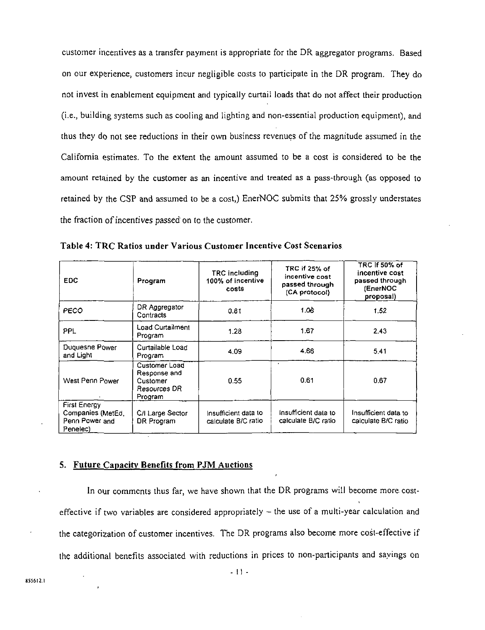customer incentives as a transfer payment is appropriate for the DR aggregator programs. Based on our experience, customers incur negligible costs to participate in the DR program. They do not invest in enablement equipment and typically curtail loads that do not affect their production (i.e., building systems such as cooling and lighting and non-essential production equipment), and thus they do not see reductions in their own business revenues of the magnitude assumed in the California estimates. To the extent the amount assumed to be a cost is considered to be the amount retained by the customer as an incentive and treated as a pass-through (as opposed to retained by the CSP and assumed to be a cost,) EnerNOC submits that 25% grossly understates the fraction of incentives passed on to the customer.

| <b>EDC</b>                                                             | Program                                                              | <b>TRC including</b><br>100% of incentive<br>costs | TRC if 25% of<br>incentive cost<br>passed through<br>(CA protocol) | TRC If 50% of<br>incentive cost<br>passed through<br>(EnerNOC<br>proposal) |
|------------------------------------------------------------------------|----------------------------------------------------------------------|----------------------------------------------------|--------------------------------------------------------------------|----------------------------------------------------------------------------|
| <b>PECO</b>                                                            | DR Aggregator<br>Contracts                                           | 0.81                                               | 1.06                                                               | 1.52                                                                       |
| PPL                                                                    | Load Curtailment<br>Program                                          | 1.28                                               | 1.67                                                               | 2.43                                                                       |
| Duquesne Power<br>and Light                                            | Curtailable Load<br>Program                                          | 4.09                                               | 4.66                                                               | 5.41                                                                       |
| West Penn Power                                                        | Customer Load<br>Response and<br>Customer<br>Resources DR<br>Program | 0.55                                               | ٠<br>0.61                                                          | 0.67                                                                       |
| <b>First Energy</b><br>Companies (MetEd,<br>Penn Power and<br>Penelec) | C/I Large Sector<br>DR Program                                       | Insufficient data to<br>calculate B/C ratio        | Insufficient data to<br>calculate B/C ratio                        | Insufficient data to<br>calculate B/C ratio                                |

**Table 4: TRC Ratios under Various Customer Incentive Cost Scenarios** 

#### **5. Future Capacity Benefits from PJM Auctions**

In our comments thus far, we have shown that the DR programs will become more costeffective if two variables are considered appropriately  $-$  the use of a multi-year calculation and the categorization of customer incentives. The DR programs also become more cost-effective if the additional benefits associated with reductions in prices to non-participants and sayings on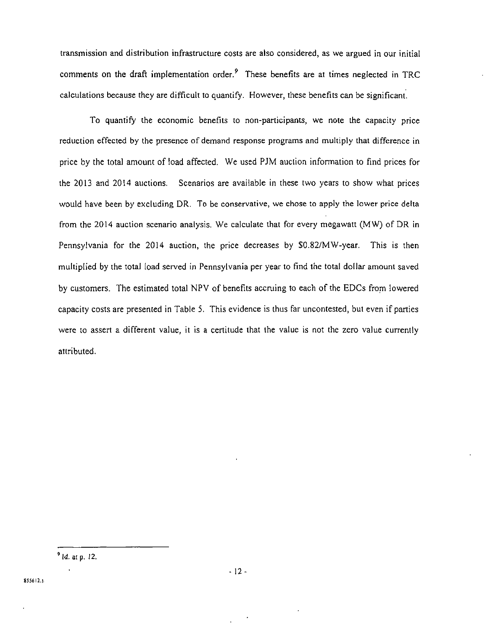transmission and distribution infrastructure costs are also considered, as we argued in our initial comments on the draft implementation order.<sup>9</sup> These benefits are at times neglected in TRC calculations because they are difficult to quantify. However, these benefits can be significant.

To quantify the economic benefits to non-participants, we note the capacity price reduction effected by the presence of demand response programs and multiply that difference in price by the total amount of load affected. We used PJM auction information to find prices for the 2013 and 2014 auctions. Scenarios are available in these two years to show what prices would have been by excluding DR. To be conservative, we chose to apply the lower price delta from the 2014 auction scenario analysis. We calculate that for every megawatt (MW) of DR in Pennsylvania for the 2014 auction, the price decreases by \$0.82/MW-year. This is then multiplied by the total load served in Pennsylvania per year to find the total dollar amount saved by customers. The estimated total NPV of benefits accruing to each of the EDCs from lowered capacity costs are presented in Table 5. This evidence is thus far uncontested, but even if parties were to assert a different value, it is a certitude that the value is not the zero value currently attributed.

*Id. at p. 12.*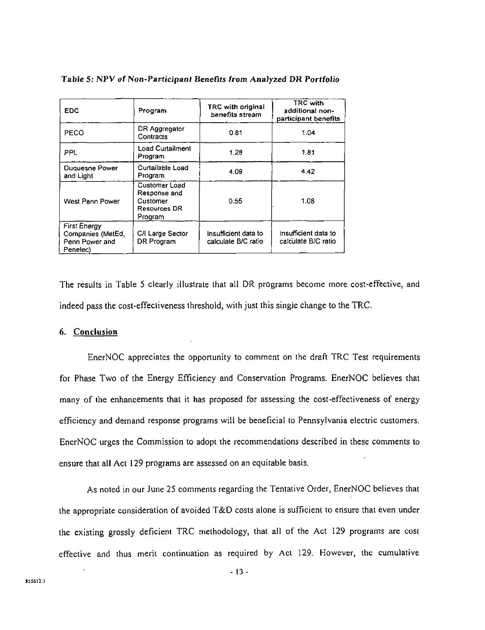| EDC                                                                    | Program                                                                     | TRC with original<br>benefits stream        | <b>TRC</b> with<br>additional non-<br>participant benefits |
|------------------------------------------------------------------------|-----------------------------------------------------------------------------|---------------------------------------------|------------------------------------------------------------|
| PECO                                                                   | DR Aggregator<br>Contracts                                                  | 0.81                                        | 1.04                                                       |
| PPL.                                                                   | <b>Load Curtailment</b><br>Program                                          | 1.23                                        | 1.81                                                       |
| <b>Duquesne Power</b><br>and Light                                     | Curtailable Load<br>Program                                                 | 4.09                                        | 4.42                                                       |
| West Penn Power                                                        | Customer Load<br>Response and<br>Customer<br><b>Resources DR</b><br>Program | 0.55                                        | 1.08                                                       |
| <b>First Energy</b><br>Companies (MetEd,<br>Penn Power and<br>Penelec) | C/I Large Sector<br>DR Program                                              | Insufficient data to<br>calculate B/C ratio | Insufficient data to<br>calculate B/C ratio                |

Table 5: NPV of Non-Participant Benefits from Analyzed DR Portfolio

The results in Table 5 clearly illustrate that all DR programs become more cost-effective, and indeed pass the cost-effectiveness threshold, with just this single change to the TRC.

#### 6. Conclusion

EnerNOC appreciates the opportunity to comment on the draft TRC Test requirements for Phase Two of the Energy Efficiency and Conservation Programs. EnerNOC believes that many of the enhancements that it has proposed for assessing the cost-effectiveness of energy efficiency and demand response programs will be beneficial to Pennsylvania electric customers. EnerNOC urges the Commission to adopt the recommendations described in these comments to ensure that all Act 129 programs are assessed on an equitable basis.

As noted in our June 25 comments regarding the Tentative Order, EnerNOC believes that the appropriate consideration of avoided T&D costs alone is sufficient to ensure that even under the existing grossly deficient TRC methodology, that all of the Act 129 programs are cost effective and thus merit continuation as required by Act 129. However, the cumulative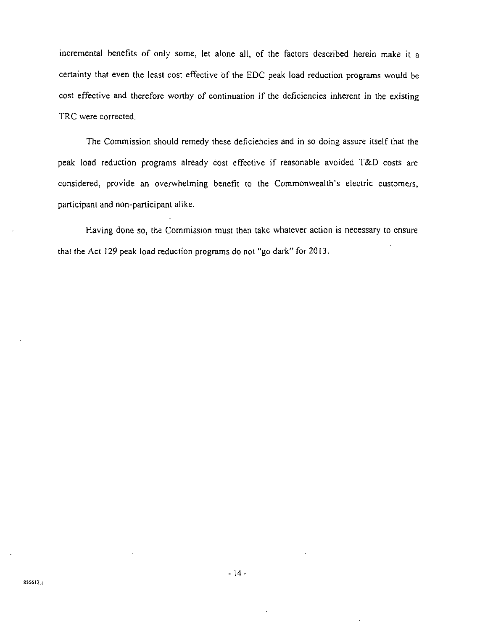incremental benefits of only some, let alone all, of the factors described herein make it a certainty that even the least cost effective of the EDC peak load reduction programs would be cost effective and therefore worthy of continuation if the deficiencies inherent in the existing TRC were corrected.

The Commission should remedy these deficiencies and in so doing assure itself that the peak load reduction programs already cost effective if reasonable avoided T&D costs are considered, provide an overwhelming benefit to the Commonwealth's electric customers, participant and non-participant alike.

Having done so, the Commission must then take whatever action is necessary to ensure that the Act 129 peak load reduction programs do not "go dark" for 2013.